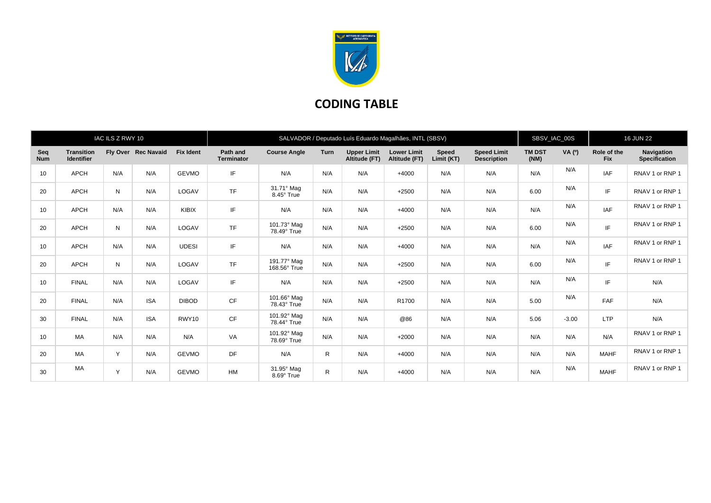

## **CODING TABLE**

| IAC ILS Z RWY 10  |                                        |     |                     |                  | SALVADOR / Deputado Luís Eduardo Magalhães, INTL (SBSV) |                             |      |                                     |                                     |                            |                                          |                       | SBSV_IAC_00S  |                           | <b>16 JUN 22</b>                   |  |
|-------------------|----------------------------------------|-----|---------------------|------------------|---------------------------------------------------------|-----------------------------|------|-------------------------------------|-------------------------------------|----------------------------|------------------------------------------|-----------------------|---------------|---------------------------|------------------------------------|--|
| Seq<br><b>Num</b> | <b>Transition</b><br><b>Identifier</b> |     | Fly Over Rec Navaid | <b>Fix Ident</b> | Path and<br><b>Terminator</b>                           | <b>Course Angle</b>         | Turn | <b>Upper Limit</b><br>Altitude (FT) | <b>Lower Limit</b><br>Altitude (FT) | <b>Speed</b><br>Limit (KT) | <b>Speed Limit</b><br><b>Description</b> | <b>TM DST</b><br>(NM) | <b>VA</b> (°) | Role of the<br><b>Fix</b> | Navigation<br><b>Specification</b> |  |
| 10                | <b>APCH</b>                            | N/A | N/A                 | <b>GEVMO</b>     | IF                                                      | N/A                         | N/A  | N/A                                 | $+4000$                             | N/A                        | N/A                                      | N/A                   | N/A           | <b>IAF</b>                | RNAV 1 or RNP 1                    |  |
| 20                | <b>APCH</b>                            | N   | N/A                 | LOGAV            | <b>TF</b>                                               | 31.71° Mag<br>8.45° True    | N/A  | N/A                                 | $+2500$                             | N/A                        | N/A                                      | 6.00                  | N/A           | IF                        | RNAV 1 or RNP 1                    |  |
| 10                | <b>APCH</b>                            | N/A | N/A                 | <b>KIBIX</b>     | IF                                                      | N/A                         | N/A  | N/A                                 | $+4000$                             | N/A                        | N/A                                      | N/A                   | N/A           | IAF                       | RNAV 1 or RNP 1                    |  |
| 20                | <b>APCH</b>                            | N   | N/A                 | LOGAV            | <b>TF</b>                                               | 101.73° Mag<br>78.49° True  | N/A  | N/A                                 | $+2500$                             | N/A                        | N/A                                      | 6.00                  | N/A           | IF                        | RNAV 1 or RNP 1                    |  |
| 10                | <b>APCH</b>                            | N/A | N/A                 | <b>UDESI</b>     | IF                                                      | N/A                         | N/A  | N/A                                 | $+4000$                             | N/A                        | N/A                                      | N/A                   | N/A           | <b>IAF</b>                | RNAV 1 or RNP 1                    |  |
| 20                | <b>APCH</b>                            | N   | N/A                 | LOGAV            | <b>TF</b>                                               | 191.77° Mag<br>168.56° True | N/A  | N/A                                 | $+2500$                             | N/A                        | N/A                                      | 6.00                  | N/A           | IF                        | RNAV 1 or RNP 1                    |  |
| 10                | <b>FINAL</b>                           | N/A | N/A                 | LOGAV            | IF                                                      | N/A                         | N/A  | N/A                                 | $+2500$                             | N/A                        | N/A                                      | N/A                   | N/A           | IF                        | N/A                                |  |
| 20                | <b>FINAL</b>                           | N/A | <b>ISA</b>          | <b>DIBOD</b>     | <b>CF</b>                                               | 101.66° Mag<br>78.43° True  | N/A  | N/A                                 | R1700                               | N/A                        | N/A                                      | 5.00                  | N/A           | FAF                       | N/A                                |  |
| 30                | <b>FINAL</b>                           | N/A | <b>ISA</b>          | RWY10            | <b>CF</b>                                               | 101.92° Mag<br>78.44° True  | N/A  | N/A                                 | @86                                 | N/A                        | N/A                                      | 5.06                  | $-3.00$       | <b>LTP</b>                | N/A                                |  |
| 10                | MA                                     | N/A | N/A                 | N/A              | VA                                                      | 101.92° Mag<br>78.69° True  | N/A  | N/A                                 | $+2000$                             | N/A                        | N/A                                      | N/A                   | N/A           | N/A                       | RNAV 1 or RNP 1                    |  |
| 20                | MA                                     | Y   | N/A                 | <b>GEVMO</b>     | <b>DF</b>                                               | N/A                         | R    | N/A                                 | $+4000$                             | N/A                        | N/A                                      | N/A                   | N/A           | <b>MAHF</b>               | RNAV 1 or RNP 1                    |  |
| 30                | MA                                     | Y   | N/A                 | <b>GEVMO</b>     | <b>HM</b>                                               | 31.95° Mag<br>8.69° True    | R    | N/A                                 | $+4000$                             | N/A                        | N/A                                      | N/A                   | N/A           | <b>MAHF</b>               | RNAV 1 or RNP 1                    |  |